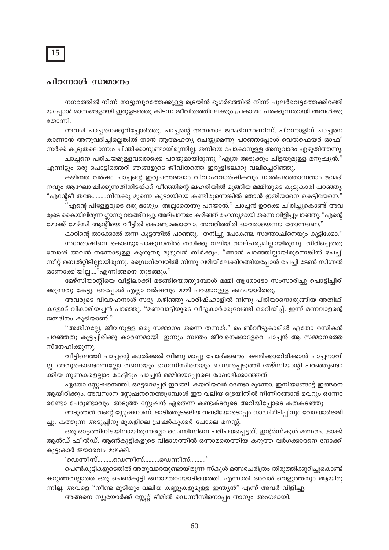## 15

## പിറന്നാൾ സമ്മാനം

നഗരത്തിൽ നിന്ന് നാട്ടുമ്പുറത്തേക്കുള്ള ട്രെയിൻ ഭൂഗർഭത്തിൽ നിന്ന് പുലർവെട്ടത്തേക്കിറങ്ങി യപ്പോൾ മാസങ്ങളായി ഇരുളടഞ്ഞു കിടന്ന ജീവിതത്തിലേക്കും പ്രകാശം പരക്കുന്നതായി അവൾക്കു തോന്നി.

അവൾ ചാച്ചനെക്കുറിച്ചോർത്തു. ചാച്ചന്റെ അമ്പതാം ജന്മദിനമാണിന്ന്. പിറന്നാളിന് ചാച്ചനെ കാണാൻ അനുവദിച്ചില്ലെങ്കിൽ താൻ ആത്മഹത്യ ചെയ്യുമെന്നു പറഞ്ഞപ്പോൾ വെൽഫെയർ ഓഫീ സർക്ക് കൂടുതലൊന്നും ചിന്തിക്കാനുണ്ടായിരുന്നില്ല. തനിയെ പോകാനുള്ള അനുവാദം എഴുതിത്തന്നു. ചാച്ചനെ പരിചയമുള്ളവരൊക്കെ പറയുമായിരുന്നു "എത്ര അടുക്കും ചിട്ടയുമുള്ള മനുഷ്യൻ."

എന്നിട്ടും ഒരു പൊട്ടിത്തെറി ഞങ്ങളുടെ ജീവിതത്തെ ഇരുളിലേക്കു വലിച്ചെറിഞ്ഞു.

കഴിഞ്ഞ വർഷം ചാച്ചന്റെ ഇരുപത്തഞ്ചാം വിവാഹവാർഷികവും നാൽപത്തൊമ്പതാം ജന്മദി നവും ആഘോഷിക്കുന്നതിനിടയ്ക്ക് വീഞ്ഞിന്റെ ലഹരിയിൽ മുങ്ങിയ മമ്മിയുടെ കൂട്ടുകാരി പറഞ്ഞു. "എന്റേടീ തങ്കേ………നിനക്കു മുന്നെ കുട്ടായിയെ കണ്ടിരുന്നെങ്കിൽ ഞാൻ ഇതിയാനെ കെട്ടിയേനെ."

'എന്റെ പിള്ളേരുടെ ഒരു ഭാഗ്യം! അല്ലാതെന്തു പറയാൻ." ചാച്ചൻ ഉറക്കെ ചിരിച്ചുകൊണ്ട് അവ രുടെ കൈയിലിരുന്ന ഗ്ലാസു വാങ്ങിവച്ചു. അല്പനേരം കഴിഞ്ഞ് രഹസ്യമായി തന്നെ വിളിച്ചുപറഞ്ഞു. "എന്റെ മോക്ക് മേഴ്സി ആന്റിയെ വീട്ടിൽ കൊണ്ടാക്കാവോ, അവരിത്തിരി ഓവരായെന്നാ തോന്നണെ."

കാറിന്റെ താക്കോൽ തന്ന കൂട്ടത്തിൽ പറഞ്ഞു. "തനിച്ചു പോകണ്ട. സന്തോഷിനെയും കൂട്ടിക്കോ." സന്തോഷിനെ കൊണ്ടുപോകുന്നതിൽ തനിക്കു വലിയ താല്പര്യമില്ലായിരുന്നു. തിരിച്ചെത്തു മ്പോൾ അവൻ തന്നോടുള്ള കുശുമ്പു മുഴുവൻ തീർക്കും. "ഞാൻ പറഞ്ഞില്ലായിരുന്നെങ്കിൽ ചേച്ചി സീറ്റ് ബെൽറ്റിടില്ലായിരുന്നു. ഡ്രൈവ്വേയിൽ നിന്നു വഴിയിലേക്കിറങ്ങിയപ്പോൾ ചേച്ചി ടേൺ സിഗ്നൽ ഓണാക്കിയില്ല...."എന്നിങ്ങനെ തുടങ്ങും."

മേഴ്സിയാന്റിയെ വീട്ടിലാക്കി മടങ്ങിയെത്തുമ്പോൾ മമ്മി ആരോടോ സംസാരിച്ചു പൊട്ടിച്ചിരി ക്കുന്നതു കേട്ടു. അപ്പോൾ എല്ലാ വർഷവും മമ്മി പറയാറുള്ള കഥയോർത്തു.

അവരുടെ വിവാഹനാൾ സദ്യ കഴിഞ്ഞു പാരിഷ്ഹാളിൽ നിന്നു പിരിയാനൊരുങ്ങിയ അതിഥി കളോട് വികാരിയച്ചൻ പറഞ്ഞു. "മണവാട്ടിയുടെ വീട്ടുകാർക്കുവേണ്ടി ഒരറിയിപ്പ്. ഇന്ന് മണവാളന്റെ ജന്മദിനം കൂടിയാണ്."

"അതിനല്ലേ, ജീവനുള്ള ഒരു സമ്മാനം തന്നെ തന്നത്." പെൺവീട്ടുകാരിൽ ഏതോ രസികൻ പറഞ്ഞതു കൂട്ടച്ചിരിക്കു കാരണമായി. ഇന്നും സ്വന്തം ജീവനെക്കാളേറെ ചാച്ചൻ ആ സമ്മാനത്തെ സ്നേഹിക്കുന്നു.

വീട്ടിലെത്തി ചാച്ചന്റെ കാൽക്കൽ വീണു മാപ്പു ചോദിക്കണം. ക്ഷമിക്കാതിരിക്കാൻ ചാച്ചനാവി ല്ല. അതുകൊണ്ടാണല്ലോ തന്നെയും ഡെന്നിസിനെയും ബന്ധപ്പെടുത്തി മേഴ്സിയാന്റി പറഞ്ഞുണ്ടാ ക്കിയ നുണകളെല്ലാം കേട്ടിട്ടും ചാച്ചൻ മമ്മിയെപ്പോലെ ക്ഷോഭിക്കാഞ്ഞത്.

ഏതോ സ്റ്റേഷനെത്തി. ഒട്ടേറെപ്പേർ ഇറങ്ങി. കയറിയവർ രണ്ടോ മൂന്നോ. ഇനിയങ്ങോട്ട് ഇങ്ങനെ ആയിരിക്കും. അവസാന സ്റ്റേഷനനെത്തുമ്പോൾ ഈ വലിയ ട്രെയിനിൽ നിന്നിറങ്ങാൻ വെറും ഒന്നോ രണ്ടോ പേരുണ്ടാവും. അടുത്ത സ്റ്റേഷൻ ഏതെന്ന കണ്ടക്ടറുടെ അറിയിപ്പോടെ കതകടഞ്ഞു.

അടുത്തത് തന്റെ സ്റ്റേഷനാണ്. ഓടിത്തുടങ്ങിയ വണ്ടിയോടൊപ്പം നാഡിമിടിപ്പിനും വേഗയാർജ്ജി ച്ചു. കത്തുന്ന അടുപ്പിനു മുകളിലെ പ്രഷർകുക്കർ പോലെ മനസ്സ്.

ഒരു ഓട്ടത്തിനിടയിലായിരുന്നല്ലോ ഡെന്നിസിനെ പരിചയപ്പെട്ടത്. ഇന്റർസ്കൂൾ മത്സരം. ട്രാക്ക് ആൻഡ് ഫീൽഡ്. ആൺകുട്ടികളുടെ വിഭാഗത്തിൽ ഒന്നാമതെത്തിയ കറുത്ത വർഗക്കാരനെ നോക്കി കൂട്ടുകാർ ജയാരവം മുഴക്കി.

'ഡെന്നീസ്……….ഡെന്നീസ്……….ഡെന്നീസ്……….'

പെൺകുട്ടികളുടെതിൽ അതുവരെയുണ്ടായിരുന്ന സ്കൂൾ മത്സരചരിത്രം തിരുത്തിക്കുറിച്ചുകൊണ്ട് കറുത്തതല്ലാത്ത ഒരു പെൺകുട്ടി ഒന്നാമതായോടിയെത്തി. എന്നാൽ അവൾ വെളുത്തതും ആയിരു ന്നില്ല. അവളെ "നീണ്ട മുടിയും വലിയ കണ്ണുകളുമുള്ള ഇന്ത്യൻ" എന്ന് അവർ വിളിച്ചു.

അങ്ങനെ ന്യൂയോർക്ക് സ്റ്റേറ്റ് ടീമിൽ ഡെന്നീസിനൊപ്പം താനും അംഗമായി.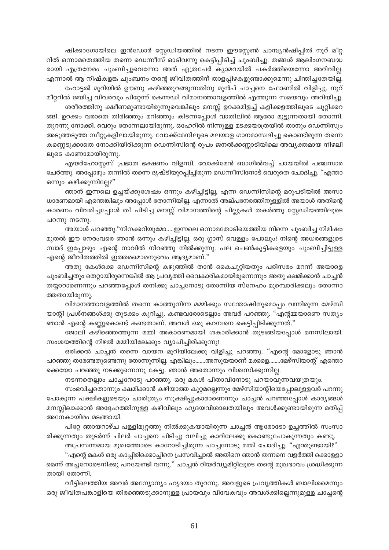ഷിക്കാഗോയിലെ ഇൻഡോർ സ്റ്റേഡിയത്തിൽ നടന്ന ഈസ്റ്റേൺ ചാമ്പ്യൻഷിപ്പിൽ നൂറ് മീറ്റ റിൽ ഒന്നാമതെത്തിയ തന്നെ ഡെന്നീസ് ഓടിവന്നു കെട്ടിപ്പിടിച്ച് ചുംബിച്ചു. തങ്ങൾ ആലിംഗനബദ്ധ രായി എത്രനേരം ചുംബിച്ചുവെന്നോ അത് എത്രപേർ ക്യാമറയിൽ പകർത്തിയെന്നോ അറിവില്ല. എന്നാൽ ആ നിഷ്കളങ്ക ചുംബനം തന്റെ ജീവിതത്തിന് താളപ്പിഴകളുണ്ടാക്കുമെന്നു ചിന്തിച്ചതേയില്ല. ഹോട്ടൽ മുറിയിൽ ഊണു കഴിഞ്ഞുറങ്ങുന്നതിനു മുൻപ് ചാച്ചനെ ഫോണിൽ വിളിച്ചു. നൂറ്

മീറ്ററിൽ ജയിച്ച വിവരവും പിറ്റേന്ന് കെന്നഡി വിമാനത്താവളത്തിൽ എത്തുന്ന സമയവും അറിയിച്ചു. ശരീരത്തിനു ക്ഷീണമുണ്ടായിരുന്നുവെങ്കിലും മനസ്സ് ഉറക്കമിളച്ച് കളിക്കളത്തിലൂടെ ചുറ്റിക്കറ

ങ്ങി. ഉറക്കം വരാതെ തിരിഞ്ഞും മറിഞ്ഞും കിടന്നപ്പോൾ വാതിലിൽ ആരോ മുട്ടുന്നതായി തോന്നി. തുറന്നു നോക്കി. വെറും തോന്നലായിരുന്നു. ഒഹേറിൽ നിന്നുള്ള മടക്കയാത്രയിൽ താനും ഡെന്നിസും അടുത്തടുത്ത സീറ്റുകളിലായിരുന്നു. വോക്ക്മേനിലൂടെ മലയാള ഗാനമാസ്വദിച്ചു കൊണ്ടിരുന്ന തന്നെ കണ്ണെടുക്കാതെ നോക്കിയിരിക്കുന്ന ഡെന്നിസിന്റെ രൂപം ജനൽക്കണ്ണാടിയിലെ അവ്യക്തമായ നിഴലി ലൂടെ കാണാമായിരുന്നു.

എയർഹോസ്റ്റസ് പ്രഭാത ഭക്ഷണം വിളമ്പി. വോക്ക്മേൻ ബാഗിൽവച്ച് ചായയിൽ പഞ്ചസാര ചേർത്തു. അപ്പോഴും തന്നിൽ തന്നെ ദൃഷ്ടിയുറപ്പിച്ചിരുന്ന ഡെന്നീസിനോട് വെറുതെ ചോദിച്ചു. "എന്താ ഒന്നും കഴിക്കുന്നില്ലേ?"

ഞാൻ ഇന്നലെ ഉച്ചയ്ക്കുശേഷം ഒന്നും കഴിച്ചിട്ടില്ല, എന്ന ഡെന്നിസിന്റെ മറുപടിയിൽ അസാ ധാരണമായി എന്തെങ്കിലും അപ്പോൾ തോന്നിയില്ല. എന്നാൽ അല്പനേരത്തിനുള്ളിൽ അയാൾ അതിന്റെ കാരണം വിവരിച്ചപ്പോൾ തീ പിടിച്ച മനസ്സ് വിമാനത്തിന്റെ ചില്ലുകൾ തകർത്തു സ്റ്റേഡിയത്തിലൂടെ പറന്നു നടന്നു.

അയാൾ പറഞ്ഞു."നിനക്കറിയുമോ.....ഇന്നലെ ഒന്നാമതോടിയെത്തിയ നിന്നെ ചുംബിച്ച നിമിഷം മുതൽ ഈ നേരംവരെ ഞാൻ ഒന്നും കഴിച്ചിട്ടില്ല. ഒരു ഗ്ലാസ് വെള്ളം പോലും! നിന്റെ അധരങ്ങളുടെ സ്വാദ് ഇപ്പോഴും എന്റെ നാവിൽ നിറഞ്ഞു നിൽക്കുന്നു. പല പെൺകുട്ടികളെയും ചുംബിച്ചിട്ടുള്ള എന്റെ ജീവിതത്തിൽ ഇത്തരമൊരനുഭവം ആദ്യമാണ്."

അതു കേൾക്കെ ഡെന്നിസിന്റെ കഴുത്തിൽ താൻ കൈചുറ്റിയതും പരിസരം മറന്ന് അയാളെ ചുംബിച്ചതും തെറ്റായിരുന്നെങ്കിൽ ആ പ്രവൃത്തി വൈകാരികമായിരുന്നെന്നും അതു ക്ഷമിക്കാൻ ചാച്ചൻ തയ്യാറാണെന്നും പറഞ്ഞപ്പോൾ തനിക്കു ചാച്ചനോടു തോന്നിയ സ്നേഹം മുമ്പൊരിക്കലും തോന്നാ ത്തതായിരുന്നു.

വിമാനത്താവളത്തിൽ തന്നെ കാത്തുനിന്ന മമ്മിക്കും സന്തോഷിനുമൊപ്പം വന്നിരുന്ന മേഴ്സി യാന്റി പ്രശ്നങ്ങൾക്കു തുടക്കം കുറിച്ചു. കണ്ടവരോടെല്ലാം അവർ പറഞ്ഞു. "എന്റമ്മയാണെ സത്യം ഞാൻ എന്റെ കണ്ണുകൊണ്ട് കണ്ടതാണ്. അവൾ ഒരു കറമ്പനെ കെട്ടിപ്പിടിക്കുന്നത്."

ജോലി കഴിഞ്ഞെത്തുന്ന മമ്മി അകാരണമായി ശകാരിക്കാൻ തുടങ്ങിയപ്പോൾ മനസിലായി. സംശയത്തിന്റെ നിഴൽ മമ്മിയിലേക്കും വ്യാപിച്ചിരിക്കുന്നു!

ഒരിക്കൽ ചാച്ചൻ തന്നെ വായന മുറിയിലേക്കു വിളിച്ചു പറഞ്ഞു. "എന്റെ മോളോടു ഞാൻ പറഞ്ഞു തരേണ്ടതുണ്ടെന്നു തോന്നുന്നില്ല. എങ്കിലും.......അസൂയയാണ് മക്കളെ........മേഴ്സിയാന്റ് എന്തൊ ക്കെയോ പറഞ്ഞു നടക്കുന്നെന്നു കേട്ടു. ഞാൻ അതൊന്നും വിശ്വസിക്കുന്നില്ല.

നടന്നതെല്ലാം ചാച്ചനോടു പറഞ്ഞു. ഒരു മകൾ പിതാവിനോടു പറയാവുന്നവയത്രയും.

സംഭവിച്ചതൊന്നും ക്ഷമിക്കാൻ കഴിയാത്ത കുറ്റമല്ലെന്നും മേഴ്സിയാന്റിയെപ്പോലുള്ളവർ പറന്നു പോകുന്ന പക്ഷികളുടെയും ചാരിത്ര്യം സൂക്ഷിപ്പുകാരാണെന്നും ചാച്ചൻ പറഞ്ഞപ്പോൾ കാര്യങ്ങൾ മനസ്സിലാക്കാൻ അദ്ദേഹത്തിനുള്ള കഴിവിലും ഹൃദയവിശാലതയിലും അവൾക്കുണ്ടായിരുന്ന മതിപ്പ് അനേകായിരം മടങ്ങായി.

പിറ്റേ ഞായറാഴ്ച പള്ളിമുറ്റത്തു നിൽക്കുകയായിരുന്ന ചാച്ചൻ ആരോടോ ഉച്ചത്തിൽ സംസാ രിക്കുന്നതും തുടർന്ന് ചിലർ ചാച്ചനെ പിടിച്ചു വലിച്ചു കാറിലേക്കു കൊണ്ടുപോകുന്നതും കണ്ടു.

അപ്രസന്നമായ മുഖത്തോടെ കാറോടിച്ചിരുന്ന ചാച്ചനോടു മമ്മി ചോദിച്ചു. "എന്തുണ്ടായി?"

"എന്റെ മകൾ ഒരു കാപ്പിരിക്കൊച്ചിനെ പ്രസവിച്ചാൽ അതിനെ ഞാൻ തന്നനെ വളർത്തി ക്കൊള്ളാ മെന്ന് അച്ചനോടെനിക്കു പറയേണ്ടി വന്നു." ചാച്ചൻ റിയർവ്യൂമിറ്റിലൂടെ തന്റെ മുഖഭാവം ശ്രദ്ധിക്കുന്ന തായി തോന്നി.

വീട്ടിലെത്തിയ അവർ അന്യോന്യം ഹൃദയം തുറന്നു. അവളുടെ പ്രവൃത്തികൾ ബാലിശമെന്നും ഒരു ജീവിതപങ്കാളിയെ തിരഞ്ഞെടുക്കാനുള്ള പ്രായവും വിവേകവും അവൾക്കില്ലെന്നുമുള്ള ചാച്ചന്റെ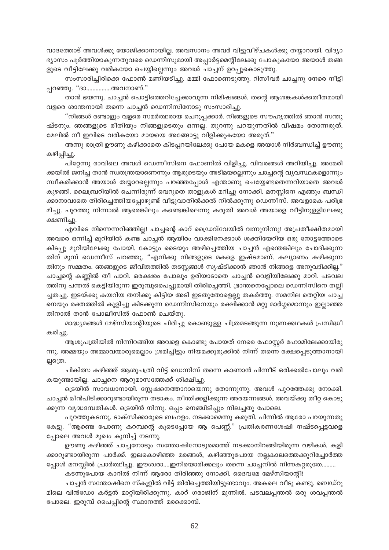വാദത്തോട് അവൾക്കു യോജിക്കാനായില്ല. അവസാനം അവർ വിട്ടുവീഴ്ചകൾക്കു തയ്യാറായി. വിദ്യാ ഭ്യാസം പൂർത്തിയാകുന്നതുവരെ ഡെന്നിസുമായി അപ്പാർട്ടമെന്റിലേക്കു പോകുകയോ അയാൾ തങ്ങ ളുടെ വീട്ടിലേക്കു വരികയോ ചെയ്യില്ലെന്നും അവൾ ചാച്ചന് ഉറപ്പുകൊടുത്തു.

സംസാരിച്ചിരിക്കെ ഫോൺ മണിയടിച്ചു. മമ്മി ഫോണെടുത്തു. റിസീവർ ചാച്ചനു നേരെ നീട്ടി പ്പറഞ്ഞു. "ദാ................അവനാണ്."

താൻ ഭയന്നു. ചാച്ചൻ പൊട്ടിത്തെറിച്ചേക്കാവുന്ന നിമിഷങ്ങൾ. തന്റെ ആശങ്കകൾക്കതീതമായി വളരെ ശാന്തനായി തന്നെ ചാച്ചൻ ഡെന്നിസിനോടു സംസാരിച്ചു.

"നിങ്ങൾ രണ്ടാളും വളരെ സമർത്ഥരായ ചെറുപ്പക്കാർ. നിങ്ങളുടെ സൗഹൃത്തിൽ ഞാൻ സന്തു ഷ്ടനും. ഞങ്ങളുടെ രീതിയും നിങ്ങളുടെതും ഒന്നല്ല. തുറന്നു പറയുന്നതിൽ വിഷമം തോന്നരുത്. മേലിൽ നീ ഇവിടെ വരികയോ മായയെ അങ്ങോട്ടു വിളിക്കുകയോ അരുത്."

അന്നു രാത്രി ഊണു കഴിക്കാതെ കിടപ്പറയിലേക്കു പോയ മകളെ അയാൾ നിർബന്ധിച്ച് ഊണു കഴിപ്പിച്ചു.

പിറ്റേന്നു രാവിലെ അവൾ ഡെന്നീസിനെ ഫോണിൽ വിളിച്ചു. വിവരങ്ങൾ അറിയിച്ചു. അമേരി ക്കയിൽ ജനിച്ച താൻ സ്വതന്ത്രയാണെന്നും ആരുടെയും അടിമയല്ലെന്നും ചാച്ചന്റെ വ്യവസ്ഥകളൊന്നും സ്ഥീകരിക്കാൻ അയാൾ തയ്യാറല്ലെന്നും പറഞ്ഞപ്പോൾ എന്താണു ചെയ്യേണ്ടതെന്നറിയാതെ അവൾ കുഴങ്ങി. ലൈബ്രറിയിൽ ചെന്നിരുന്ന് വെറുതെ താളുകൾ മറിച്ചു നോക്കി. മനസ്സിനെ എങ്ങും ബന്ധി ക്കാനാവാതെ തിരിച്ചെത്തിയപ്പോഴുണ്ട് വീട്ടുവാതിൽക്കൽ നിൽക്കുന്നു ഡെന്നീസ്. അവളാകെ പരിഭ്ര മിച്ചു. പുറത്തു നിന്നാൽ ആരെങ്കിലും കണ്ടെങ്കിലെന്നു കരുതി അവൾ അയാളെ വീട്ടിനുള്ളിലേക്കു ക്ഷണിച്ചു.

എവിടെ നിന്നെന്നറിഞ്ഞില്ല! ചാച്ചന്റെ കാറ് ഡ്രൈവ്വേയിൽ വന്നുനിന്നു! അപ്രതീക്ഷിതമായി അവരെ ഒന്നിച്ച് മുറിയിൽ കണ്ട ചാച്ചൻ ആയിരം വാക്കിനേക്കാൾ ശക്തിയേറിയ ഒരു നോട്ടത്തോടെ കിടപ്പു മുറിയിലേക്കു പോയി. കോട്ടും ടൈയും അഴിച്ചെത്തിയ ചാച്ചൻ എന്തെങ്കിലും ചോദിക്കുന്ന തിന് മുമ്പ് ഡെന്നീസ് പറഞ്ഞു. "എനിക്കു നിങ്ങളുടെ മകളെ ഇഷ്ടമാണ്. കല്യാണം കഴിക്കുന്ന തിനും സമ്മതം. ഞങ്ങളുടെ ജീവിതത്തിൽ തടസ്സങ്ങൾ സൃഷ്ടിക്കാൻ ഞാൻ നിങ്ങളെ അനുവദിക്കില്ല." ചാച്ചന്റെ കണ്ണിൽ തീ പാറി. ഒരക്ഷരം പോലും ഉരിയാടാതെ ചാച്ചൻ വെളിയിലേക്കു മാറി. പടവല ത്തിനു പന്തൽ കെട്ടിയിരുന്ന ഇരുമ്പുപൈപ്പുമായി തിരിച്ചെത്തി. ഭ്രാന്തനെപ്പോലെ ഡെന്നിസിനെ തല്ലി ച്ചതച്ചു. ഇടയ്ക്കു കയറിയ തനിക്കു കിട്ടിയ അടി ഇടതുതോളെല്ലു തകർത്തു. സമനില തെറ്റിയ ചാച്ച നെയും രക്തത്തിൽ കുളിച്ചു കിടക്കുന്ന ഡെന്നിസിനെയും രക്ഷിക്കാൻ മറ്റു മാർഗ്ഗമൊന്നും ഇല്ലാഞ്ഞ തിനാൽ താൻ പോലീസിൽ ഫോൺ ചെയ്തു.

മാദ്ധ്യമങ്ങൾ മേഴ്സിയാന്റിയുടെ ചിരിച്ചു കൊണ്ടുള്ള ചിത്രമടങ്ങുന്ന നുണക്കഥകൾ പ്രസിദ്ധീ കരിച്ചു.

ആശുപത്രിയിൽ നിന്നിറങ്ങിയ അവളെ കൊണ്ടു പോയത് നേരെ ഫോസ്റ്റർ ഹോമിലേക്കായിരു ന്നു. അമ്മയും അമ്മാവന്മാരുമെല്ലാം ശ്രമിച്ചിട്ടും നിയമക്കുരുക്കിൽ നിന്ന് തന്നെ രക്ഷപ്പെടുത്താനായി ല്ലത്രെ.

ചികിത്സ കഴിഞ്ഞ് ആശുപത്രി വിട്ട് ഡെന്നിസ് തന്നെ കാണാൻ പിന്നീട് ഒരിക്കൽപോലും വരി കയുണ്ടായില്ല. ചാച്ചനെ ആറുമാസത്തേക്ക് ശിക്ഷിച്ചു.

ട്രെയിൻ സാവധാനായി. സ്റ്റേഷനെത്താറായെന്നു തോന്നുന്നു. അവൾ പുറത്തേക്കു നോക്കി. ചാച്ചൻ മീൻപിടിക്കാറുണ്ടായിരുന്ന തടാകം. നീന്തിക്കളിക്കുന്ന അരയന്നങ്ങൾ. അവയ്ക്കു തീറ്റ കൊടു ക്കുന്ന വൃദ്ധദമ്പതികൾ. ട്രെയിൻ നിന്നു. ഒപ്പം നെഞ്ചിടിപ്പും നിലച്ചതു പോലെ.

പുറത്തുകടന്നു. ടാക്സിക്കാരുടെ ബഹളം. നടക്കാമെന്നു കരുതി. പിന്നിൽ ആരോ പറയുന്നതു കേട്ടു. "ആണ്ടെ പോണു കറമ്പന്റെ കൂടെപ്പോയ ആ പെണ്ണ്." പ്രതികരണശേഷി നഷ്ടപ്പെട്ടവളെ പ്പോലെ അവൾ മുഖം കുനിച്ച് നടന്നു.

ഊണു കഴിഞ്ഞ് ചാച്ചനോടും സന്തോഷിനോടുമൊത്ത് നടക്കാനിറങ്ങിയിരുന്ന വഴികൾ. കളി ക്കാറുണ്ടായിരുന്ന പാർക്ക്. ഇലകൊഴിഞ്ഞ മരങ്ങൾ, കഴിഞ്ഞുപോയ നല്ലകാലത്തെക്കുറിച്ചോർത്ത പ്പോൾ മനസ്സിൽ പ്രാർത്ഥിച്ചു. ഈശ്വരാ....ഇനിയൊരിക്കലും തന്നെ ചാച്ചനിൽ നിന്നകറ്റരുതേ.........

കടന്നുപോയ കാറിൽ നിന്ന് ആരോ തിരിഞ്ഞു നോക്കി. ദൈവമേ മേഴ്സിയാന്റി!

ചാച്ചൻ സന്തോഷിനെ സ്കൂളിൽ വിട്ട് തിരിച്ചെത്തിയിട്ടുണ്ടാവും. അകലെ വീടു കണ്ടു. ബെഡ്റൂ മിലെ വിൻഡോ കർട്ടൻ മാറ്റിയിരിക്കുന്നു. കാറ് ഗരാജിന് മുന്നിൽ. പടവലപ്പന്തൽ ഒരു ശവപ്പന്തൽ പോലെ. ഇരുമ്പ് പൈപ്പിന്റെ സ്ഥാനത്ത് മരക്കൊമ്പ്.